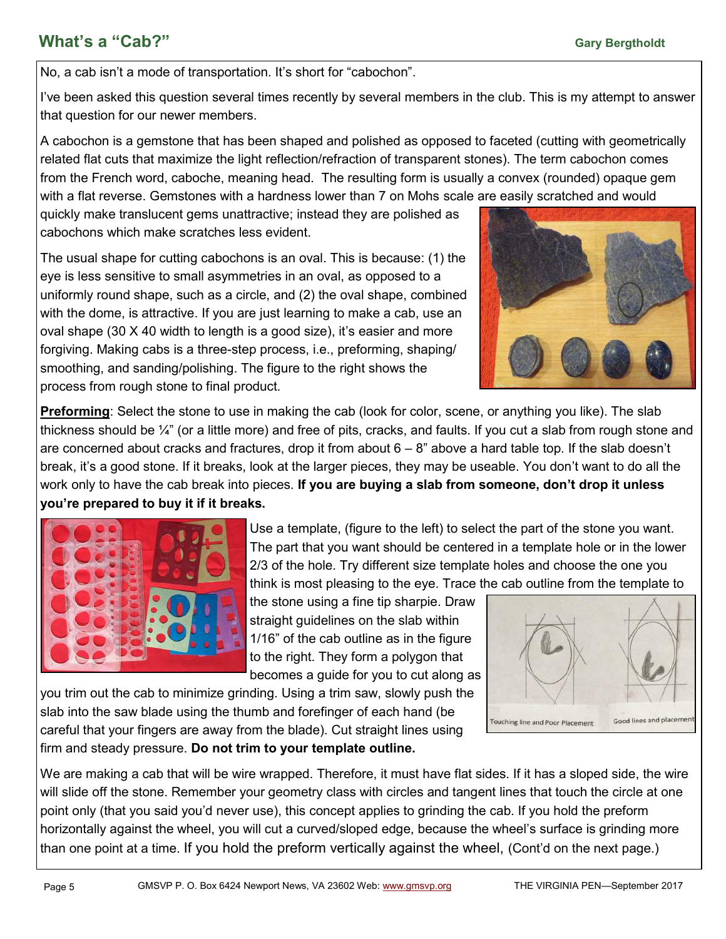## **Mhat's a "Cab?" Gary Bergtholdt Gary Bergtholdt Gary Bergtholdt**

No, a cab isn't a mode of transportation. It's short for "cabochon".

I've been asked this question several times recently by several members in the club. This is my attempt to answer that question for our newer members.

A cabochon is a [gemstone](https://en.wikipedia.org/wiki/Gemstone) that has been shaped and polished as opposed to [faceted](https://en.wikipedia.org/wiki/Facet) (cutting with geometrically related flat cuts that maximize the light reflection/refraction of transparent stones). The term cabochon comes from the French word, caboche, meaning head. The resulting form is usually a convex (rounded) opaque gem with a flat reverse. Gemstones with a hardness lower than 7 on Mohs [scale](https://en.wikipedia.org/wiki/Mohs_scale_of_mineral_hardness) are easily scratched and would

quickly make translucent gems unattractive; instead they are polished as cabochons which make scratches less evident.

The usual shape for cutting cabochons is an oval. This is because: (1) the eye is less sensitive to small asymmetries in an oval, as opposed to a uniformly round shape, such as a circle, and (2) the oval shape, combined with the dome, is attractive. If you are just learning to make a cab, use an oval shape (30 X 40 width to length is a good size), it's easier and more forgiving. Making cabs is a three-step process, i.e., preforming, shaping/ smoothing, and sanding/polishing. The figure to the right shows the process from rough stone to final product.



**Preforming**: Select the stone to use in making the cab (look for color, scene, or anything you like). The slab thickness should be ¼" (or a little more) and free of pits, cracks, and faults. If you cut a slab from rough stone and are concerned about cracks and fractures, drop it from about  $6 - 8$ " above a hard table top. If the slab doesn't break, it's a good stone. If it breaks, look at the larger pieces, they may be useable. You don't want to do all the work only to have the cab break into pieces. **If you are buying a slab from someone, don't drop it unless you're prepared to buy it if it breaks.**



Use a template, (figure to the left) to select the part of the stone you want. The part that you want should be centered in a template hole or in the lower 2/3 of the hole. Try different size template holes and choose the one you think is most pleasing to the eye. Trace the cab outline from the template to

the stone using a fine tip sharpie. Draw straight guidelines on the slab within 1/16" of the cab outline as in the figure to the right. They form a polygon that becomes a guide for you to cut along as

you trim out the cab to minimize grinding. Using a trim saw, slowly push the slab into the saw blade using the thumb and forefinger of each hand (be careful that your fingers are away from the blade). Cut straight lines using firm and steady pressure. **Do not trim to your template outline.**



We are making a cab that will be wire wrapped. Therefore, it must have flat sides. If it has a sloped side, the wire will slide off the stone. Remember your geometry class with circles and tangent lines that touch the circle at one point only (that you said you'd never use), this concept applies to grinding the cab. If you hold the preform horizontally against the wheel, you will cut a curved/sloped edge, because the wheel's surface is grinding more than one point at a time. If you hold the preform vertically against the wheel, (Cont'd on the next page.)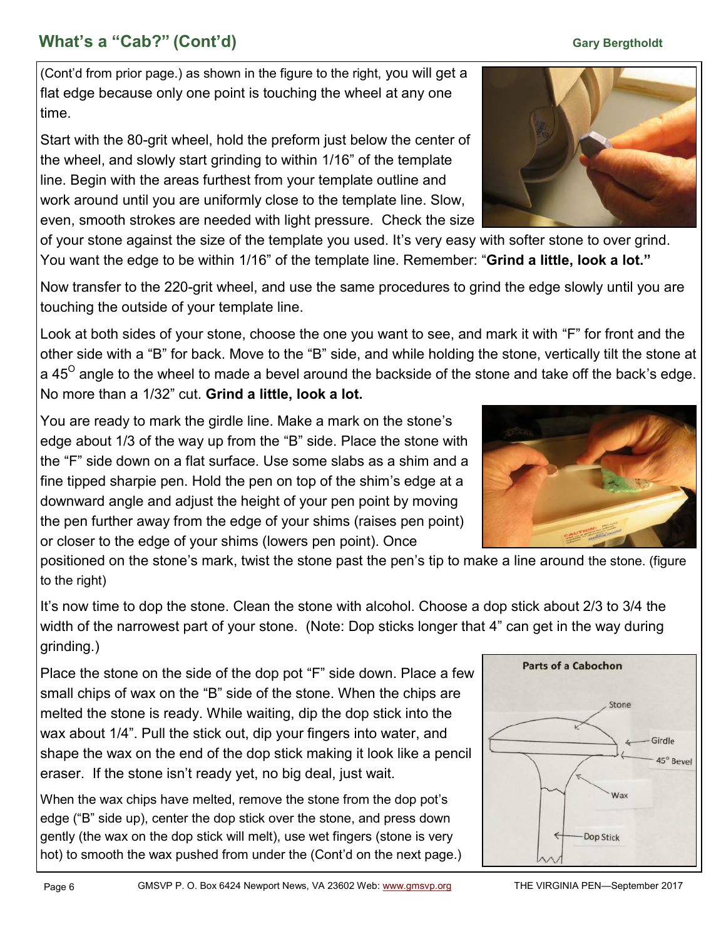# **What's a "Cab?" (Cont'd) Gary Bergtholdt Gary Bergtholdt Gary Bergtholdt**

(Cont'd from prior page.) as shown in the figure to the right, you will get a flat edge because only one point is touching the wheel at any one time.

Start with the 80-grit wheel, hold the preform just below the center of the wheel, and slowly start grinding to within 1/16" of the template line. Begin with the areas furthest from your template outline and work around until you are uniformly close to the template line. Slow, even, smooth strokes are needed with light pressure. Check the size

of your stone against the size of the template you used. It's very easy with softer stone to over grind. You want the edge to be within 1/16" of the template line. Remember: "**Grind a little, look a lot."**

Now transfer to the 220-grit wheel, and use the same procedures to grind the edge slowly until you are touching the outside of your template line.

Look at both sides of your stone, choose the one you want to see, and mark it with "F" for front and the other side with a "B" for back. Move to the "B" side, and while holding the stone, vertically tilt the stone at a 45<sup>0</sup> angle to the wheel to made a bevel around the backside of the stone and take off the back's edge. No more than a 1/32" cut. **Grind a little, look a lot.** 

You are ready to mark the girdle line. Make a mark on the stone's edge about 1/3 of the way up from the "B" side. Place the stone with the "F" side down on a flat surface. Use some slabs as a shim and a fine tipped sharpie pen. Hold the pen on top of the shim's edge at a downward angle and adjust the height of your pen point by moving the pen further away from the edge of your shims (raises pen point) or closer to the edge of your shims (lowers pen point). Once

positioned on the stone's mark, twist the stone past the pen's tip to make a line around the stone. (figure to the right)

It's now time to dop the stone. Clean the stone with alcohol. Choose a dop stick about 2/3 to 3/4 the width of the narrowest part of your stone. (Note: Dop sticks longer that 4" can get in the way during grinding.)

Place the stone on the side of the dop pot "F" side down. Place a few small chips of wax on the "B" side of the stone. When the chips are melted the stone is ready. While waiting, dip the dop stick into the wax about 1/4". Pull the stick out, dip your fingers into water, and shape the wax on the end of the dop stick making it look like a pencil eraser. If the stone isn't ready yet, no big deal, just wait.

When the wax chips have melted, remove the stone from the dop pot's edge ("B" side up), center the dop stick over the stone, and press down gently (the wax on the dop stick will melt), use wet fingers (stone is very hot) to smooth the wax pushed from under the (Cont'd on the next page.)





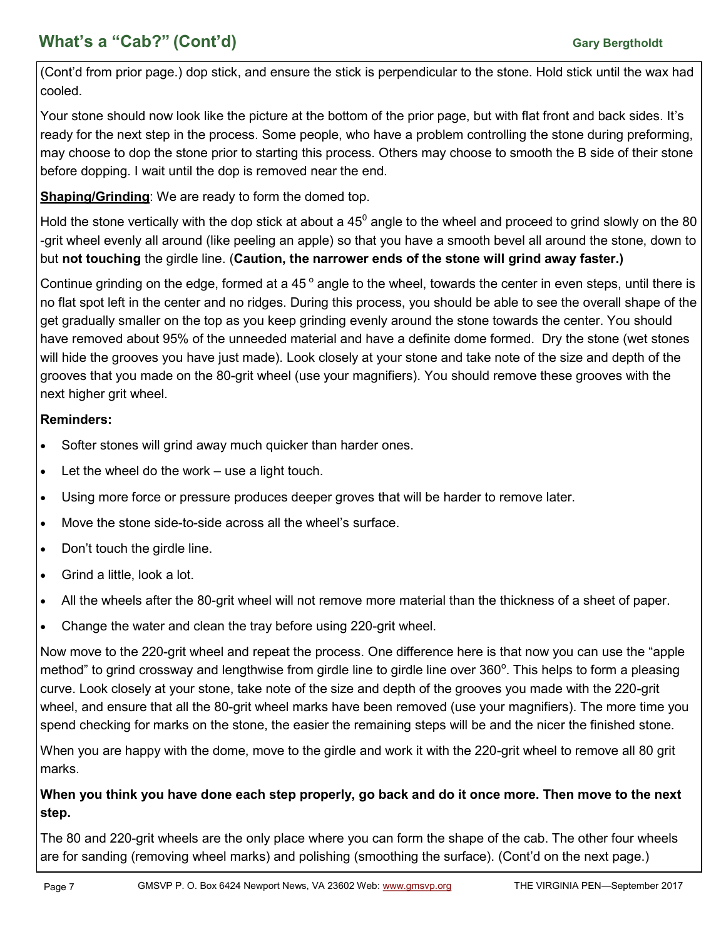# **What's a "Cab?" (Cont'd) Gary Bergtholdt Gary Bergtholdt Gary Bergtholdt**

(Cont'd from prior page.) dop stick, and ensure the stick is perpendicular to the stone. Hold stick until the wax had cooled.

Your stone should now look like the picture at the bottom of the prior page, but with flat front and back sides. It's ready for the next step in the process. Some people, who have a problem controlling the stone during preforming, may choose to dop the stone prior to starting this process. Others may choose to smooth the B side of their stone before dopping. I wait until the dop is removed near the end.

**Shaping/Grinding**: We are ready to form the domed top.

Hold the stone vertically with the dop stick at about a 45 $^{\rm 0}$  angle to the wheel and proceed to grind slowly on the 80 -grit wheel evenly all around (like peeling an apple) so that you have a smooth bevel all around the stone, down to but **not touching** the girdle line. (**Caution, the narrower ends of the stone will grind away faster.)**

Continue grinding on the edge, formed at a 45 $^{\circ}$  angle to the wheel, towards the center in even steps, until there is no flat spot left in the center and no ridges. During this process, you should be able to see the overall shape of the get gradually smaller on the top as you keep grinding evenly around the stone towards the center. You should have removed about 95% of the unneeded material and have a definite dome formed. Dry the stone (wet stones will hide the grooves you have just made). Look closely at your stone and take note of the size and depth of the grooves that you made on the 80-grit wheel (use your magnifiers). You should remove these grooves with the next higher grit wheel.

#### **Reminders:**

- Softer stones will grind away much quicker than harder ones.
- Let the wheel do the work use a light touch.
- Using more force or pressure produces deeper groves that will be harder to remove later.
- Move the stone side-to-side across all the wheel's surface.
- Don't touch the girdle line.
- Grind a little, look a lot.
- All the wheels after the 80-grit wheel will not remove more material than the thickness of a sheet of paper.
- Change the water and clean the tray before using 220-grit wheel.

Now move to the 220-grit wheel and repeat the process. One difference here is that now you can use the "apple method" to grind crossway and lengthwise from girdle line to girdle line over 360°. This helps to form a pleasing curve. Look closely at your stone, take note of the size and depth of the grooves you made with the 220-grit wheel, and ensure that all the 80-grit wheel marks have been removed (use your magnifiers). The more time you spend checking for marks on the stone, the easier the remaining steps will be and the nicer the finished stone.

When you are happy with the dome, move to the girdle and work it with the 220-grit wheel to remove all 80 grit marks.

### **When you think you have done each step properly, go back and do it once more. Then move to the next step.**

The 80 and 220-grit wheels are the only place where you can form the shape of the cab. The other four wheels are for sanding (removing wheel marks) and polishing (smoothing the surface). (Cont'd on the next page.)